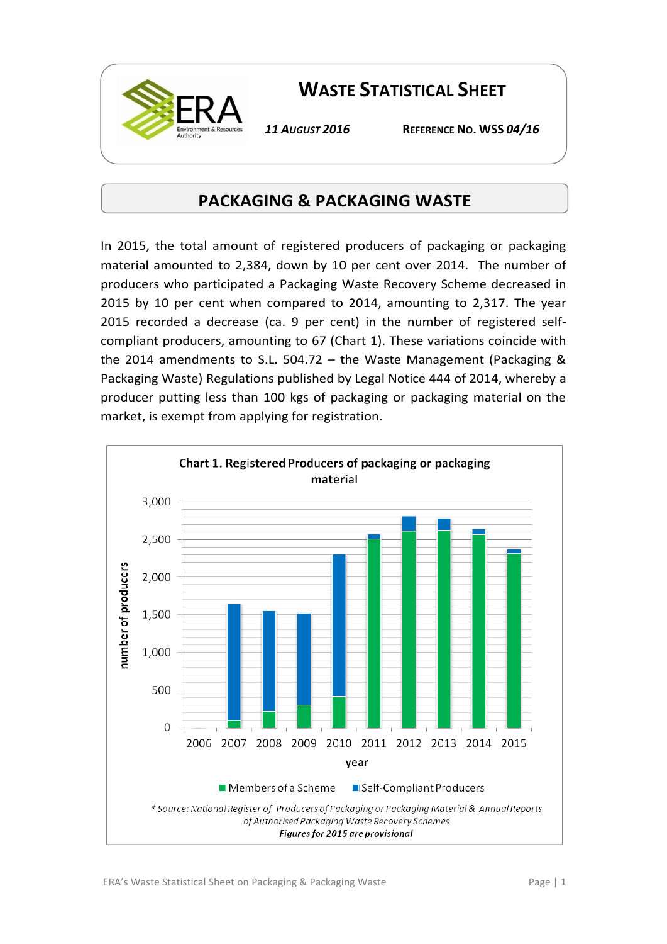

## **WASTE STATISTICAL SHEET**

*11 AUGUST 2016* **REFERENCE NO. WSS** *04/16*

## **PACKAGING & PACKAGING WASTE**

In 2015, the total amount of registered producers of packaging or packaging material amounted to 2,384, down by 10 per cent over 2014. The number of producers who participated a Packaging Waste Recovery Scheme decreased in 2015 by 10 per cent when compared to 2014, amounting to 2,317. The year 2015 recorded a decrease (ca. 9 per cent) in the number of registered selfcompliant producers, amounting to 67 (Chart 1). These variations coincide with the 2014 amendments to S.L. 504.72 – the Waste Management (Packaging & Packaging Waste) Regulations published by Legal Notice 444 of 2014, whereby a producer putting less than 100 kgs of packaging or packaging material on the market, is exempt from applying for registration.

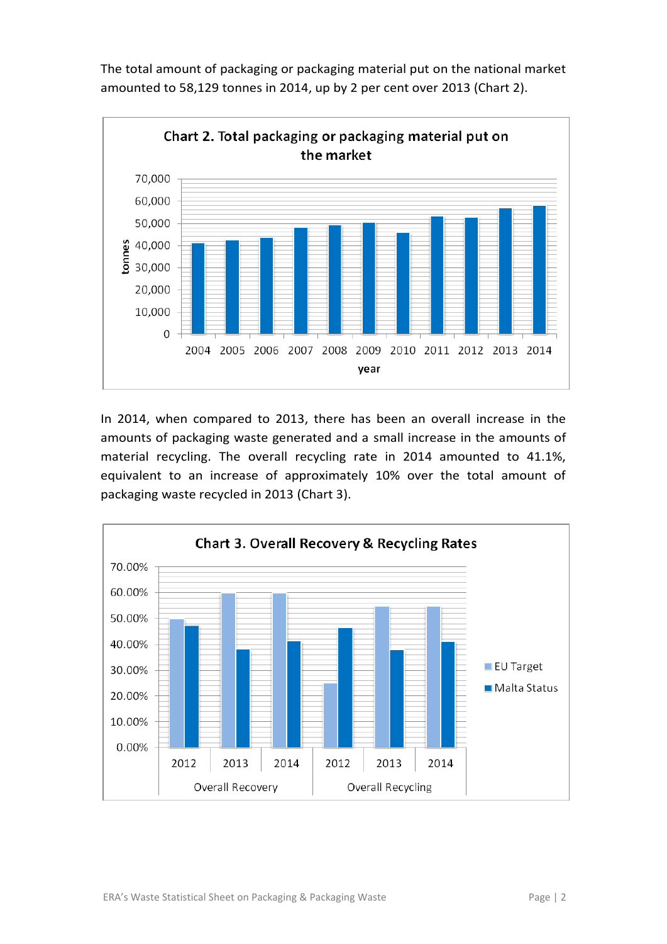The total amount of packaging or packaging material put on the national market amounted to 58,129 tonnes in 2014, up by 2 per cent over 2013 (Chart 2).



In 2014, when compared to 2013, there has been an overall increase in the amounts of packaging waste generated and a small increase in the amounts of material recycling. The overall recycling rate in 2014 amounted to 41.1%, equivalent to an increase of approximately 10% over the total amount of packaging waste recycled in 2013 (Chart 3).

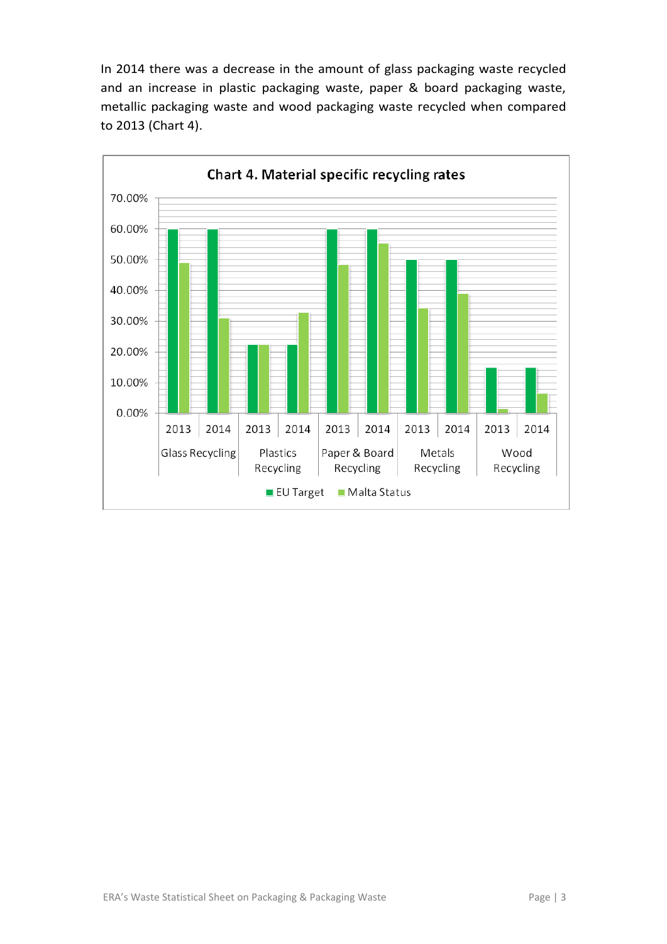In 2014 there was a decrease in the amount of glass packaging waste recycled and an increase in plastic packaging waste, paper & board packaging waste, metallic packaging waste and wood packaging waste recycled when compared to 2013 (Chart 4).